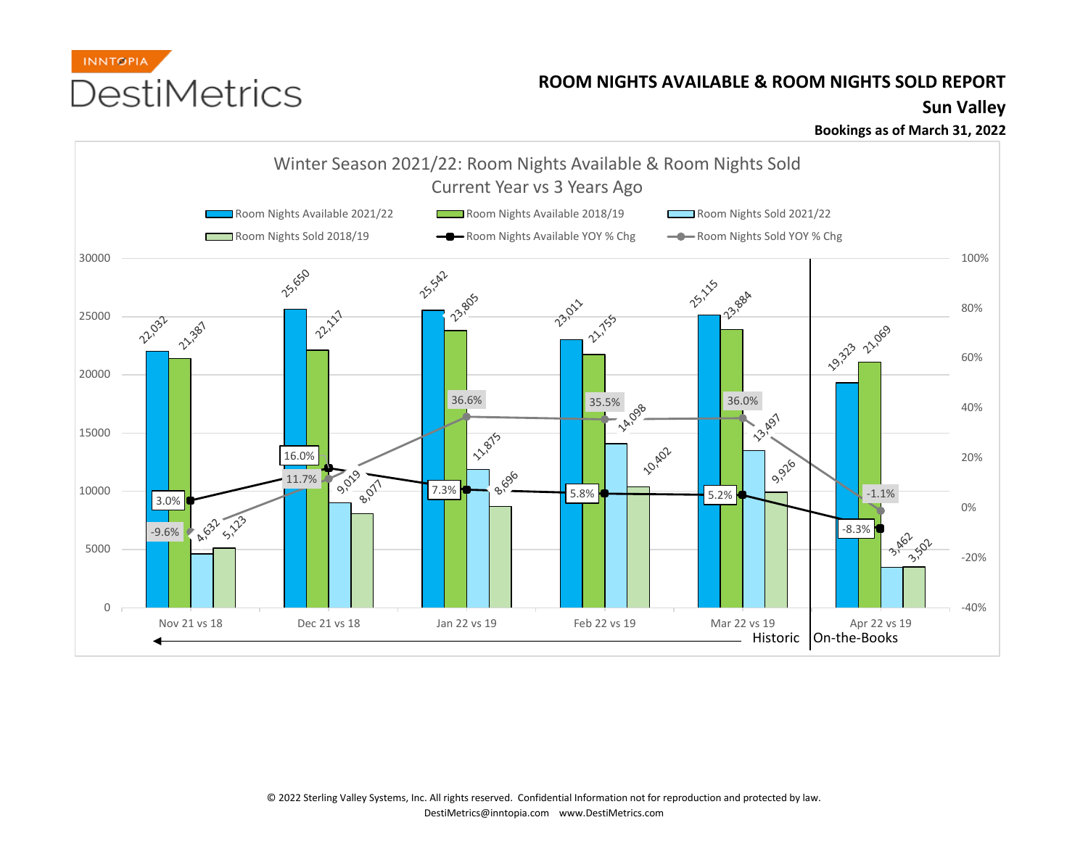

## **ROOM NIGHTS AVAILABLE & ROOM NIGHTS SOLD REPORT**

## **Sun Valley**

**Bookings as of March 31, 2022**